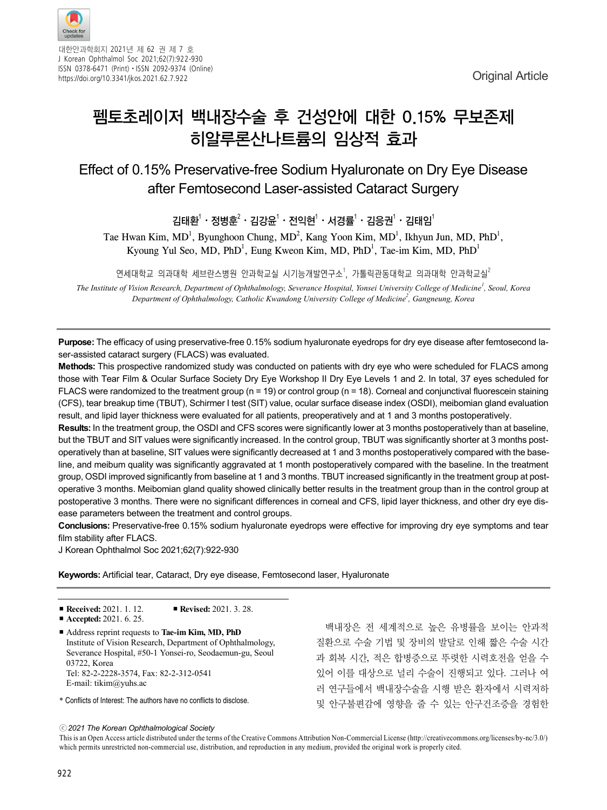

대한안과학회지 2021년 제 62 권 제 7 호 J Korean Ophthalmol Soc 2021;62(7):922-930 ISSN 0378-6471 (Print)⋅ISSN 2092-9374 (Online) https://doi.org/10.3341/jkos.2021.62.7.922 https://doi.org/10.3341/jkos.2021.62.7.922

# 펨토초레이저 백내장수술 후 건성안에 대한 0.15% 무보존제 히알루론산나트륨의 임상적 효과

### Effect of 0.15% Preservative-free Sodium Hyaluronate on Dry Eye Disease after Femtosecond Laser-assisted Cataract Surgery

김태환 $\cdot$  정병훈 $\cdot$  · 김강윤 $\cdot$  · 전익현 $\cdot$  · 서경률 $\cdot$  · 김응권 $\cdot$  · 김태임 $\cdot$ 

Tae Hwan Kim, MD<sup>1</sup>, Byunghoon Chung, MD<sup>2</sup>, Kang Yoon Kim, MD<sup>1</sup>, Ikhyun Jun, MD, PhD<sup>1</sup>, Kyoung Yul Seo, MD, PhD<sup>1</sup>, Eung Kweon Kim, MD, PhD<sup>1</sup>, Tae-im Kim, MD, PhD<sup>1</sup>

연세대학교 의과대학 세브란스병원 안과학교실 시기능개발연구소<sup>1</sup>, 가톨릭관동대학교 의과대학 안과학교실<sup>2</sup>

*The Institute of Vision Research, Department of Ophthalmology, Severance Hospital, Yonsei University College of Medicine<sup>1</sup> , Seoul, Korea Department of Ophthalmology, Catholic Kwandong University College of Medicine2 , Gangneung, Korea*

**Purpose:** The efficacy of using preservative-free 0.15% sodium hyaluronate eyedrops for dry eye disease after femtosecond laser-assisted cataract surgery (FLACS) was evaluated.

**Methods:** This prospective randomized study was conducted on patients with dry eye who were scheduled for FLACS among those with Tear Film & Ocular Surface Society Dry Eye Workshop II Dry Eye Levels 1 and 2. In total, 37 eyes scheduled for FLACS were randomized to the treatment group (n = 19) or control group (n = 18). Corneal and conjunctival fluorescein staining (CFS), tear breakup time (TBUT), Schirmer I test (SIT) value, ocular surface disease index (OSDI), meibomian gland evaluation result, and lipid layer thickness were evaluated for all patients, preoperatively and at 1 and 3 months postoperatively.

**Results:** In the treatment group, the OSDI and CFS scores were significantly lower at 3 months postoperatively than at baseline, but the TBUT and SIT values were significantly increased. In the control group, TBUT was significantly shorter at 3 months postoperatively than at baseline, SIT values were significantly decreased at 1 and 3 months postoperatively compared with the baseline, and meibum quality was significantly aggravated at 1 month postoperatively compared with the baseline. In the treatment group, OSDI improved significantly from baseline at 1 and 3 months. TBUT increased significantly in the treatment group at postoperative 3 months. Meibomian gland quality showed clinically better results in the treatment group than in the control group at postoperative 3 months. There were no significant differences in corneal and CFS, lipid layer thickness, and other dry eye disease parameters between the treatment and control groups.

**Conclusions:** Preservative-free 0.15% sodium hyaluronate eyedrops were effective for improving dry eye symptoms and tear film stability after FLACS.

J Korean Ophthalmol Soc 2021;62(7):922-930

**Keywords:** Artificial tear, Cataract, Dry eye disease, Femtosecond laser, Hyaluronate

| ■ Received: 2021. 1. 12. | Revised: $2021.3.28$ . |  |
|--------------------------|------------------------|--|
|                          |                        |  |

■ **Accepted:** 2021. 6. 25.

■ Address reprint requests to **Tae-im Kim, MD, PhD** Institute of Vision Research, Department of Ophthalmology, Severance Hospital, #50-1 Yonsei-ro, Seodaemun-gu, Seoul 03722, Korea Tel: 82-2-2228-3574, Fax: 82-2-312-0541 E-mail: tikim@yuhs.ac

\* Conflicts of Interest: The authors have no conflicts to disclose.

백내장은 전 세계적으로 높은 유병률을 보이는 안과적 질환으로 수술 기법 및 장비의 발달로 인해 짧은 수술 시간 과 회복 시간, 적은 합병증으로 뚜렷한 시력호전을 얻을 수 있어 이를 대상으로 널리 수술이 진행되고 있다. 그러나 여 러 연구들에서 백내장수술을 시행 받은 환자에서 시력저하 및 안구불편감에 영향을 줄 수 있는 안구건조증을 경험한

ⓒ*2021 The Korean Ophthalmological Society*

This is an Open Access article distributed under the terms of the Creative Commons Attribution Non-Commercial License (http://creativecommons.org/licenses/by-nc/3.0/) which permits unrestricted non-commercial use, distribution, and reproduction in any medium, provided the original work is properly cited.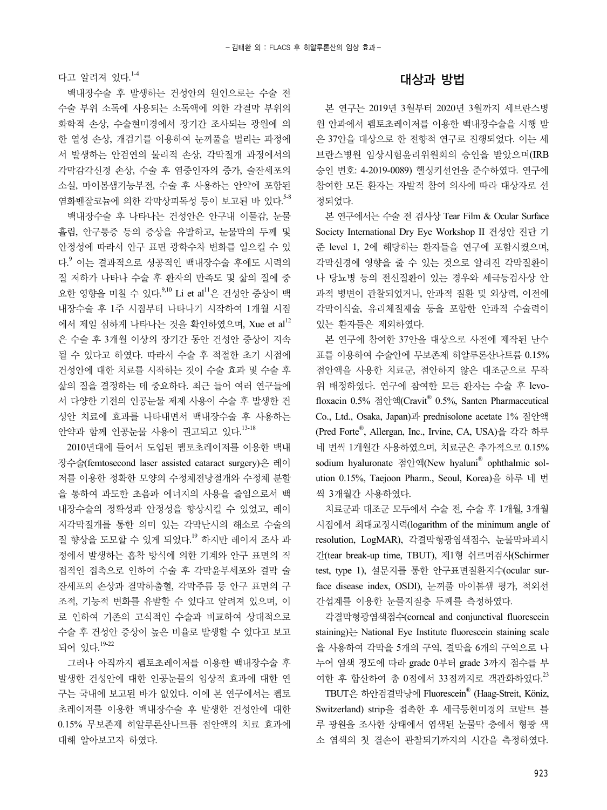다고 알려져 있다.<sup>1-4</sup>

백내장수술 후 발생하는 건성안의 원인으로는 수술 전 수술 부위 소독에 사용되는 소독액에 의한 각결막 부위의 화학적 손상, 수술현미경에서 장기간 조사되는 광원에 의 한 열성 손상, 개검기를 이용하여 눈꺼풀을 벌리는 과정에 서 발생하는 안검연의 물리적 손상, 각막절개 과정에서의 각막감각신경 손상, 수술 후 염증인자의 증가, 술잔세포의 소실, 마이봄샘기능부전, 수술 후 사용하는 안약에 포함된 염화벤잘코늄에 의한 각막상피독성 등이 보고된 바 있다. 5-8

백내장수술 후 나타나는 건성안은 안구내 이물감, 눈물 흘림, 안구통증 등의 증상을 유발하고, 눈물막의 두께 및 안정성에 따라서 안구 표면 광학수차 변화를 일으킬 수 있 다. <sup>9</sup> 이는 결과적으로 성공적인 백내장수술 후에도 시력의 질 저하가 나타나 수술 후 환자의 만족도 및 삶의 질에 중 요한 영향을 미칠 수 있다.<sup>9,10</sup> Li et al<sup>11</sup>은 건성안 증상이 백 내장수술 후 1주 시점부터 나타나기 시작하여 1개월 시점 에서 제일 심하게 나타나는 것을 확인하였으며, Xue et al<sup>12</sup> 은 수술 후 3개월 이상의 장기간 동안 건성안 증상이 지속 될 수 있다고 하였다. 따라서 수술 후 적절한 초기 시점에 건성안에 대한 치료를 시작하는 것이 수술 효과 및 수술 후 삶의 질을 결정하는 데 중요하다. 최근 들어 여러 연구들에 서 다양한 기전의 인공눈물 제제 사용이 수술 후 발생한 건 성안 치료에 효과를 나타내면서 백내장수술 후 사용하는 안약과 함께 인공눈물 사용이 권고되고 있다.<sup>13-18</sup>

2010년대에 들어서 도입된 펨토초레이저를 이용한 백내 장수술(femtosecond laser assisted cataract surgery)은 레이 저를 이용한 정확한 모양의 수정체전낭절개와 수정체 분할 을 통하여 과도한 초음파 에너지의 사용을 줄임으로서 백 내장수술의 정확성과 안정성을 향상시킬 수 있었고, 레이 저각막절개를 통한 의미 있는 각막난시의 해소로 수술의 질 향상을 도모할 수 있게 되었다. <sup>19</sup> 하지만 레이저 조사 과 정에서 발생하는 흡착 방식에 의한 기계와 안구 표면의 직 접적인 접촉으로 인하여 수술 후 각막윤부세포와 결막 술 잔세포의 손상과 결막하출혈, 각막주름 등 안구 표면의 구 조적, 기능적 변화를 유발할 수 있다고 알려져 있으며, 이 로 인하여 기존의 고식적인 수술과 비교하여 상대적으로 수술 후 건성안 증상이 높은 비율로 발생할 수 있다고 보고 되어 있다. 19-22

그러나 아직까지 펨토초레이저를 이용한 백내장수술 후 발생한 건성안에 대한 인공눈물의 임상적 효과에 대한 연 구는 국내에 보고된 바가 없었다. 이에 본 연구에서는 펨토 초레이저를 이용한 백내장수술 후 발생한 건성안에 대한 0.15% 무보존제 히알루론산나트륨 점안액의 치료 효과에 대해 알아보고자 하였다.

#### 대상과 방법

본 연구는 2019년 3월부터 2020년 3월까지 세브란스병 원 안과에서 펨토초레이저를 이용한 백내장수술을 시행 받 은 37안을 대상으로 한 전향적 연구로 진행되었다. 이는 세 브란스병원 임상시험윤리위원회의 승인을 받았으며(IRB 승인 번호: 4-2019-0089) 헬싱키선언을 준수하였다. 연구에 참여한 모든 환자는 자발적 참여 의사에 따라 대상자로 선 정되었다.

본 연구에서는 수술 전 검사상 Tear Film & Ocular Surface Society International Dry Eye Workshop II 건성안 진단 기 준 level 1, 2에 해당하는 환자들을 연구에 포함시켰으며, 각막신경에 영향을 줄 수 있는 것으로 알려진 각막질환이 나 당뇨병 등의 전신질환이 있는 경우와 세극등검사상 안 과적 병변이 관찰되었거나, 안과적 질환 및 외상력, 이전에 각막이식술, 유리체절제술 등을 포함한 안과적 수술력이 있는 환자들은 제외하였다.

본 연구에 참여한 37안을 대상으로 사전에 제작된 난수 표를 이용하여 수술안에 무보존제 히알루론산나트륨 0.15% 점안액을 사용한 치료군, 점안하지 않은 대조군으로 무작 위 배정하였다. 연구에 참여한 모든 환자는 수술 후 levofloxacin 0.5% 점안액(Cravit® 0.5%, Santen Pharmaceutical Co., Ltd., Osaka, Japan)과 prednisolone acetate 1% 점안액 (Pred Forte® , Allergan, Inc., Irvine, CA, USA)을 각각 하루 네 번씩 1개월간 사용하였으며, 치료군은 추가적으로 0.15% sodium hyaluronate 점안액(New hyaluni® ophthalmic solution 0.15%, Taejoon Pharm., Seoul, Korea)을 하루 네 번 씩 3개월간 사용하였다.

치료군과 대조군 모두에서 수술 전, 수술 후 1개월, 3개월 시점에서 최대교정시력(logarithm of the minimum angle of resolution, LogMAR), 각결막형광염색점수, 눈물막파괴시 간(tear break-up time, TBUT), 제1형 쉬르머검사(Schirmer test, type 1), 설문지를 통한 안구표면질환지수(ocular surface disease index, OSDI), 눈꺼풀 마이봄샘 평가, 적외선 간섭계를 이용한 눈물지질층 두께를 측정하였다.

각결막형광염색점수(corneal and conjunctival fluorescein staining)는 National Eye Institute fluorescein staining scale 을 사용하여 각막을 5개의 구역, 결막을 6개의 구역으로 나 누어 염색 정도에 따라 grade 0부터 grade 3까지 점수를 부 여한 후 합산하여 총 0점에서 33점까지로 객관화하였다. 23

TBUT은 하안검결막낭에 Fluorescein® (Haag-Streit, Köniz, Switzerland) strip을 접촉한 후 세극등현미경의 코발트 블 루 광원을 조사한 상태에서 염색된 눈물막 층에서 형광 색 소 염색의 첫 결손이 관찰되기까지의 시간을 측정하였다.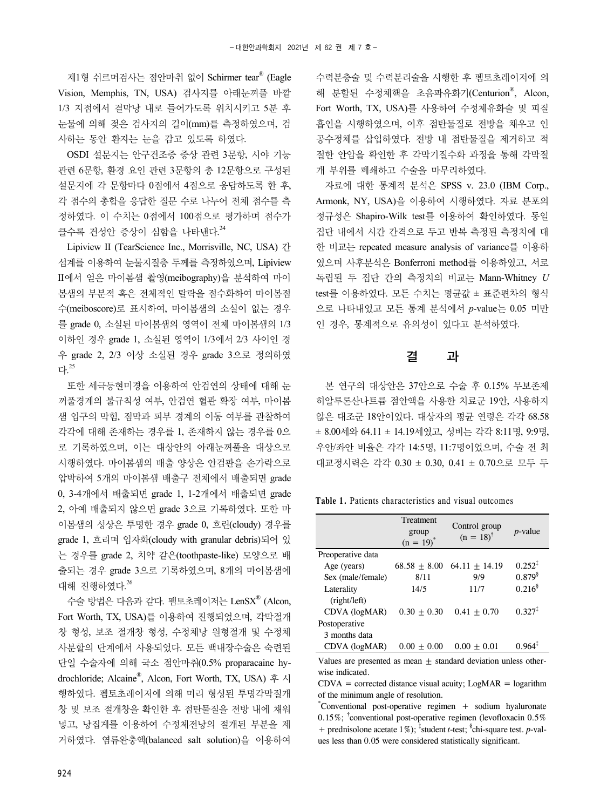제1형 쉬르머검사는 점안마취 없이 Schirmer tear® (Eagle Vision, Memphis, TN, USA) 검사지를 아래눈꺼풀 바깥 1/3 지점에서 결막낭 내로 들어가도록 위치시키고 5분 후 눈물에 의해 젖은 검사지의 길이(mm)를 측정하였으며, 검 사하는 동안 환자는 눈을 감고 있도록 하였다.

OSDI 설문지는 안구건조증 증상 관련 3문항, 시야 기능 관련 6문항, 환경 요인 관련 3문항의 총 12문항으로 구성된 설문지에 각 문항마다 0점에서 4점으로 응답하도록 한 후, 각 점수의 총합을 응답한 질문 수로 나누어 전체 점수를 측 정하였다. 이 수치는 0점에서 100점으로 평가하며 점수가 클수록 건성안 증상이 심함을 나타낸다. 24

Lipiview II (TearScience Inc., Morrisville, NC, USA) 간 섭계를 이용하여 눈물지질층 두께를 측정하였으며, Lipiview II에서 얻은 마이봄샘 촬영(meibography)을 분석하여 마이 봄샘의 부분적 혹은 전체적인 탈락을 점수화하여 마이봄점 수(meiboscore)로 표시하여, 마이봄샘의 소실이 없는 경우 를 grade 0, 소실된 마이봄샘의 영역이 전체 마이봄샘의 1/3 이하인 경우 grade 1, 소실된 영역이 1/3에서 2/3 사이인 경 우 grade 2, 2/3 이상 소실된 경우 grade 3으로 정의하였 다. 25

또한 세극등현미경을 이용하여 안검연의 상태에 대해 눈 꺼풀경계의 불규칙성 여부, 안검연 혈관 확장 여부, 마이봄 샘 입구의 막힘, 점막과 피부 경계의 이동 여부를 관찰하여 각각에 대해 존재하는 경우를 1, 존재하지 않는 경우를 0으 로 기록하였으며, 이는 대상안의 아래눈꺼풀을 대상으로 시행하였다. 마이봄샘의 배출 양상은 안검판을 손가락으로 압박하여 5개의 마이봄샘 배출구 전체에서 배출되면 grade 0, 3-4개에서 배출되면 grade 1, 1-2개에서 배출되면 grade 2, 아예 배출되지 않으면 grade 3으로 기록하였다. 또한 마 이봄샘의 성상은 투명한 경우 grade 0, 흐린(cloudy) 경우를 grade 1, 흐리며 입자화(cloudy with granular debris)되어 있 는 경우를 grade 2, 치약 같은(toothpaste-like) 모양으로 배 출되는 경우 grade 3으로 기록하였으며, 8개의 마이봄샘에 대해 진행하였다. 26

수술 방법은 다음과 같다. 펨토초레이저는 LenSX® (Alcon, Fort Worth, TX, USA)를 이용하여 진행되었으며, 각막절개 창 형성, 보조 절개창 형성, 수정체낭 원형절개 및 수정체 사분할의 단계에서 사용되었다. 모든 백내장수술은 숙련된 단일 수술자에 의해 국소 점안마취(0.5% proparacaine hydrochloride; Alcaine® , Alcon, Fort Worth, TX, USA) 후 시 행하였다. 펨토초레이저에 의해 미리 형성된 투명각막절개 창 및 보조 절개창을 확인한 후 점탄물질을 전방 내에 채워 넣고, 낭집게를 이용하여 수정체전낭의 절개된 부분을 제 거하였다. 염류완충액(balanced salt solution)을 이용하여

수력분층술 및 수력분리술을 시행한 후 펨토초레이저에 의 해 분할된 수정체핵을 초음파유화기(Centurion® , Alcon, Fort Worth, TX, USA)를 사용하여 수정체유화술 및 피질 흡인을 시행하였으며, 이후 점탄물질로 전방을 채우고 인 공수정체를 삽입하였다. 전방 내 점탄물질을 제거하고 적 절한 안압을 확인한 후 각막기질수화 과정을 통해 각막절 개 부위를 폐쇄하고 수술을 마무리하였다.

자료에 대한 통계적 분석은 SPSS v. 23.0 (IBM Corp., Armonk, NY, USA)을 이용하여 시행하였다. 자료 분포의 정규성은 Shapiro-Wilk test를 이용하여 확인하였다. 동일 집단 내에서 시간 간격으로 두고 반복 측정된 측정치에 대 한 비교는 repeated measure analysis of variance를 이용하 였으며 사후분석은 Bonferroni method를 이용하였고, 서로 독립된 두 집단 간의 측정치의 비교는 Mann-Whitney *U* test를 이용하였다. 모든 수치는 평균값 ± 표준편차의 형식 으로 나타내었고 모든 통계 분석에서 *p*-value는 0.05 미만 인 경우, 통계적으로 유의성이 있다고 분석하였다.

#### 결 과

본 연구의 대상안은 37안으로 수술 후 0.15% 무보존제 히알루론산나트륨 점안액을 사용한 치료군 19안, 사용하지 않은 대조군 18안이었다. 대상자의 평균 연령은 각각 68.58 ± 8.00세와 64.11 ± 14.19세였고, 성비는 각각 8:11명, 9:9명, 우안/좌안 비율은 각각 14:5명, 11:7명이었으며, 수술 전 최 대교정시력은 각각 0.30 ± 0.30, 0.41 ± 0.70으로 모두 두

**Table 1.** Patients characteristics and visual outcomes

|                   | Treatment<br>group | Control group        | <i>p</i> -value    |
|-------------------|--------------------|----------------------|--------------------|
|                   | $(n = 19)^{*}$     | $(n = 18)^{\dagger}$ |                    |
| Preoperative data |                    |                      |                    |
| Age (years)       | $68.58 + 8.00$     | $64.11 \pm 14.19$    | $0.252^{\ddagger}$ |
| Sex (male/female) | 8/11               | 9/9                  | $0.879^{8}$        |
| Laterality        | 14/5               | 11/7                 | $0.216^8$          |
| (right/left)      |                    |                      |                    |
| CDVA (logMAR)     | $0.30 + 0.30$      | $0.41 + 0.70$        | $0.327^{\ddagger}$ |
| Postoperative     |                    |                      |                    |
| 3 months data     |                    |                      |                    |
| CDVA (logMAR)     | $0.00 + 0.00$      | $0.00 + 0.01$        | $0.964^3$          |

Values are presented as mean  $\pm$  standard deviation unless otherwise indicated.

 $CDVA =$  corrected distance visual acuity;  $LogMAR = logarithm$ of the minimum angle of resolution.

\* Conventional post-operative regimen + sodium hyaluronate 0.15%; † conventional post-operative regimen (levofloxacin 0.5% + prednisolone acetate 1%); ‡ student *t*-test; § chi-square test. *p*-values less than 0.05 were considered statistically significant.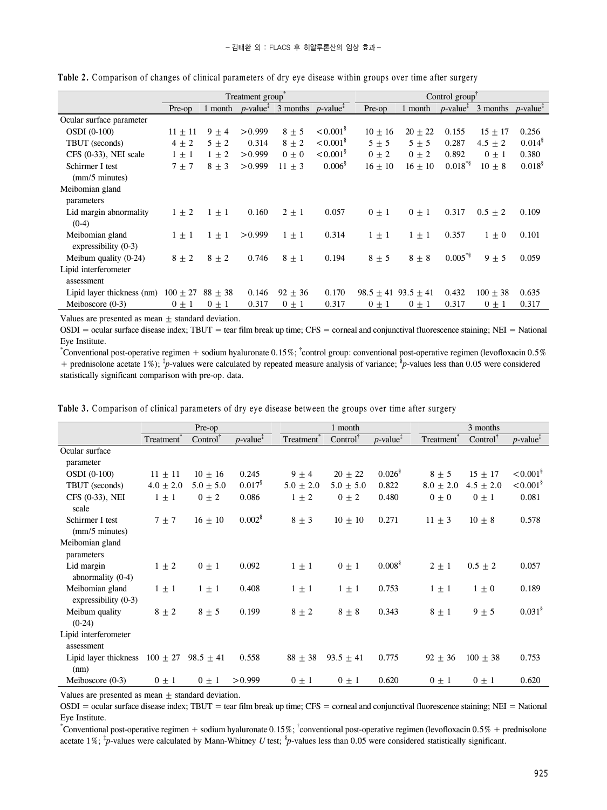|                                           | Treatment group    |           |         |                                                                                                | Control group'            |                             |             |              |                                                                                                  |                      |
|-------------------------------------------|--------------------|-----------|---------|------------------------------------------------------------------------------------------------|---------------------------|-----------------------------|-------------|--------------|--------------------------------------------------------------------------------------------------|----------------------|
|                                           | Pre-op             | 1 month   |         | $p$ -value <sup><math>\bar{i}</math></sup> 3 months $p$ -value <sup><math>\bar{i}</math></sup> |                           | Pre-op                      | 1 month     |              | $p$ -value <sup><math>\ddagger</math></sup> 3 months $p$ -value <sup><math>\ddagger</math></sup> |                      |
| Ocular surface parameter                  |                    |           |         |                                                                                                |                           |                             |             |              |                                                                                                  |                      |
| <b>OSDI</b> (0-100)                       | $11 \pm 11$        | $9 \pm 4$ | > 0.999 | $8 + 5$                                                                                        | $< 0.001$ <sup>§</sup>    | $10 + 16$                   | $20 \pm 22$ | 0.155        | $15 + 17$                                                                                        | 0.256                |
| TBUT (seconds)                            | $4 \pm 2$          | $5 \pm 2$ | 0.314   | $8 + 2$                                                                                        | $\leq 0.001$ <sup>§</sup> | $5 + 5$                     | $5 + 5$     | 0.287        | $4.5 \pm 2$                                                                                      | $0.014$ <sup>§</sup> |
| $CFS$ $(0-33)$ , NEI scale                | $1 \pm 1$          | $1 \pm 2$ | > 0.999 | $0 + 0$                                                                                        | $\leq 0.001$ <sup>§</sup> | $0 + 2$                     | $0 + 2$     | 0.892        | $0 \pm 1$                                                                                        | 0.380                |
| Schirmer I test                           | $7 + 7$            | $8 + 3$   | > 0.999 | $11 + 3$                                                                                       | 0.006 <sup>8</sup>        | $16 + 10$                   | $16 + 10$   | $0.018^{8}$  | $10 \pm 8$                                                                                       | $0.018^{8}$          |
| $\text{(mm/5 minutes)}$                   |                    |           |         |                                                                                                |                           |                             |             |              |                                                                                                  |                      |
| Meibomian gland<br>parameters             |                    |           |         |                                                                                                |                           |                             |             |              |                                                                                                  |                      |
| Lid margin abnormality<br>$(0-4)$         | $1 \pm 2$          | $1 \pm 1$ | 0.160   | $2 \pm 1$                                                                                      | 0.057                     | $0 + 1$                     | $0 \pm 1$   | 0.317        | $0.5 \pm 2$                                                                                      | 0.109                |
| Meibomian gland<br>expressibility $(0-3)$ | $1 \pm 1$          | $1 + 1$   | > 0.999 | $1 \pm 1$                                                                                      | 0.314                     | $1 + 1$                     | $1 + 1$     | 0.357        | $1 \pm 0$                                                                                        | 0.101                |
| Meibum quality $(0-24)$                   | $8 + 2$            | $8 + 2$   | 0.746   | $8 + 1$                                                                                        | 0.194                     | $8 + 5$                     | $8 + 8$     | $0.005^{*8}$ | $9 + 5$                                                                                          | 0.059                |
| Lipid interferometer<br>assessment        |                    |           |         |                                                                                                |                           |                             |             |              |                                                                                                  |                      |
| Lipid layer thickness (nm)                | $100 + 27$ 88 + 38 |           | 0.146   | $92 \pm 36$                                                                                    | 0.170                     | $98.5 \pm 41$ $93.5 \pm 41$ |             | 0.432        | $100 \pm 38$                                                                                     | 0.635                |
| Meiboscore $(0-3)$                        | $0 \pm 1$          | $0 \pm 1$ | 0.317   | $0 \pm 1$                                                                                      | 0.317                     | $0 \pm 1$                   | $0 \pm 1$   | 0.317        | $0 \pm 1$                                                                                        | 0.317                |

|  |  | Table 2. Comparison of changes of clinical parameters of dry eye disease within groups over time after surger |  |  |
|--|--|---------------------------------------------------------------------------------------------------------------|--|--|
|  |  |                                                                                                               |  |  |

Values are presented as mean  $+$  standard deviation.

 $OSDI = \text{ocular surface disease index: TBUT} = \text{tear film break up time: CFS} = \text{corneal and coniunctival fluorescence staining: NEI} = \text{National$ Eye Institute.

\* Conventional post-operative regimen + sodium hyaluronate 0.15%; † control group: conventional post-operative regimen (levofloxacin 0.5% + prednisolone acetate 1%); <sup>\*</sup>*p*-values were calculated by repeated measure analysis of variance; <sup>\*</sup>*p*-values less than 0.05 were considered statistically significant comparison with pre-op. data.

|                                            | Pre-op        |                     |                                             |               | 1 month             |                                             |               | 3 months            |                                             |  |
|--------------------------------------------|---------------|---------------------|---------------------------------------------|---------------|---------------------|---------------------------------------------|---------------|---------------------|---------------------------------------------|--|
|                                            | Treatment     | $Control^{\dagger}$ | $p$ -value <sup><math>\ddagger</math></sup> | Treatment     | $Control^{\dagger}$ | $p$ -value <sup><math>\ddagger</math></sup> | Treatment     | $Control^{\dagger}$ | $p$ -value <sup><math>\ddagger</math></sup> |  |
| Ocular surface                             |               |                     |                                             |               |                     |                                             |               |                     |                                             |  |
| parameter                                  |               |                     |                                             |               |                     |                                             |               |                     |                                             |  |
| <b>OSDI</b> (0-100)                        | $11 \pm 11$   | $10 \pm 16$         | 0.245                                       | $9 \pm 4$     | $20 \pm 22$         | $0.026^{\$}$                                | $8 \pm 5$     | $15 \pm 17$         | $\leq 0.001^8$                              |  |
| TBUT (seconds)                             | $4.0 \pm 2.0$ | $5.0 \pm 5.0$       | 0.017 <sup>8</sup>                          | $5.0 \pm 2.0$ | $5.0 \pm 5.0$       | 0.822                                       | $8.0 \pm 2.0$ | $4.5 \pm 2.0$       | $< 0.001$ <sup>§</sup>                      |  |
| CFS (0-33), NEI<br>scale                   | $1 \pm 1$     | $0 \pm 2$           | 0.086                                       | $1 \pm 2$     | $0 \pm 2$           | 0.480                                       | $0 \pm 0$     | $0 \pm 1$           | 0.081                                       |  |
| Schirmer I test<br>$\text{(mm/5 minutes)}$ | $7 \pm 7$     | $16 \pm 10$         | $0.002$ <sup>§</sup>                        | $8 \pm 3$     | $10 \pm 10$         | 0.271                                       | $11 \pm 3$    | $10 \pm 8$          | 0.578                                       |  |
| Meibomian gland<br>parameters              |               |                     |                                             |               |                     |                                             |               |                     |                                             |  |
| Lid margin<br>abnormality $(0-4)$          | $1 \pm 2$     | $0 \pm 1$           | 0.092                                       | $1 \pm 1$     | $0 \pm 1$           | 0.008 <sup>§</sup>                          | $2 \pm 1$     | $0.5 \pm 2$         | 0.057                                       |  |
| Meibomian gland<br>expressibility $(0-3)$  | $1 \pm 1$     | $1 \pm 1$           | 0.408                                       | $1 \pm 1$     | $1 \pm 1$           | 0.753                                       | $1 \pm 1$     | $1 \pm 0$           | 0.189                                       |  |
| Meibum quality<br>$(0-24)$                 | $8 \pm 2$     | $8 \pm 5$           | 0.199                                       | $8 \pm 2$     | $8 \pm 8$           | 0.343                                       | $8 \pm 1$     | $9 \pm 5$           | 0.031 <sup>8</sup>                          |  |
| Lipid interferometer<br>assessment         |               |                     |                                             |               |                     |                                             |               |                     |                                             |  |
| Lipid layer thickness $100 \pm 27$<br>(nm) |               | $98.5 + 41$         | 0.558                                       | $88 + 38$     | $93.5 + 41$         | 0.775                                       | $92 \pm 36$   | $100 + 38$          | 0.753                                       |  |
| Meiboscore $(0-3)$                         | $0 \pm 1$     | $0 \pm 1$           | > 0.999                                     | $0 \pm 1$     | $0 \pm 1$           | 0.620                                       | $0 \pm 1$     | $0 \pm 1$           | 0.620                                       |  |

**Table 3.** Comparison of clinical parameters of dry eye disease between the groups over time after surgery

Values are presented as mean  $\pm$  standard deviation.

 $OSDI = \text{ocular surface disease index}; TBUT = \text{tear film break up time}; CFS = \text{corneal and conjunctival fluorescence staining}; NEI = \text{National work}$ Eye Institute.

\* Conventional post-operative regimen + sodium hyaluronate 0.15%; † conventional post-operative regimen (levofloxacin 0.5% + prednisolone acetate 1%; <sup>\*</sup>*p*-values were calculated by Mann-Whitney *U* test; <sup>\$</sup>*p*-values less than 0.05 were considered statistically significant.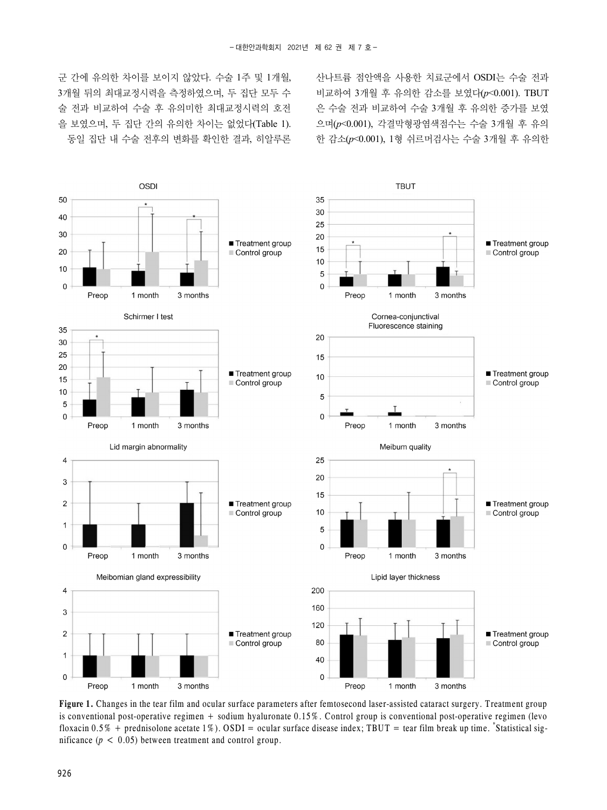산나트륨 점안액을 사용한 치료군에서 OSDI는 수술 전과 비교하여 3개월 후 유의한 감소를 보였다(*p*<0.001). TBUT 은 수술 전과 비교하여 수술 3개월 후 유의한 증가를 보였 으며(*p*<0.001), 각결막형광염색점수는 수술 3개월 후 유의 한 감소(*p*<0.001), 1형 쉬르머검사는 수술 3개월 후 유의한

군 간에 유의한 차이를 보이지 않았다. 수술 1주 및 1개월, 3개월 뒤의 최대교정시력을 측정하였으며, 두 집단 모두 수 술 전과 비교하여 수술 후 유의미한 최대교정시력의 호전 을 보였으며, 두 집단 간의 유의한 차이는 없었다(Table 1). 동일 집단 내 수술 전후의 변화를 확인한 결과, 히알루론



**Figure 1.** Changes in the tear film and ocular surface parameters after femtosecond laser-assisted cataract surgery. Treatment group is conventional post-operative regimen + sodium hyaluronate 0.15%. Control group is conventional post-operative regimen (levo floxacin 0.5% + prednisolone acetate 1%). OSDI = ocular surface disease index; TBUT = tear film break up time. \*Statistical significance ( $p < 0.05$ ) between treatment and control group.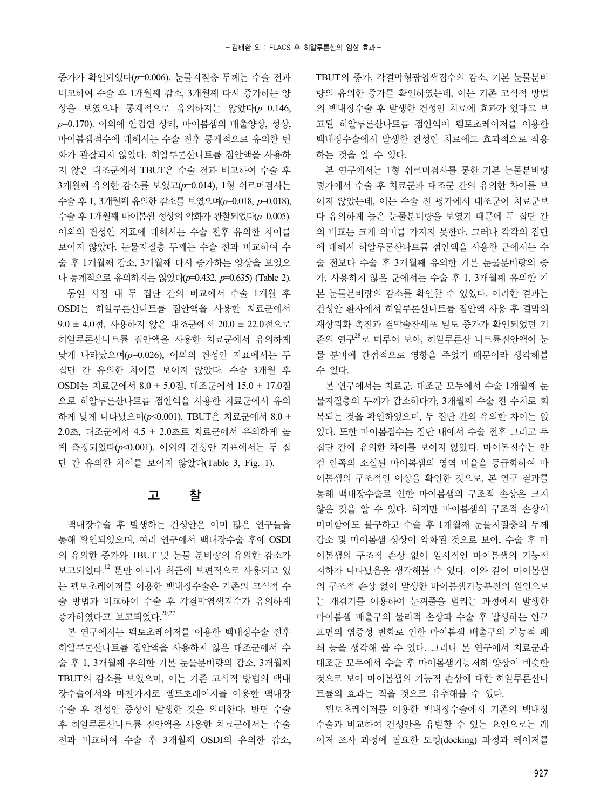증가가 확인되었다(*p*=0.006). 눈물지질층 두께는 수술 전과 비교하여 수술 후 1개월째 감소, 3개월째 다시 증가하는 양 상을 보였으나 통계적으로 유의하지는 않았다(*p*=0.146, *p*=0.170). 이외에 안검연 상태, 마이봄샘의 배출양상, 성상, 마이봄샘점수에 대해서는 수술 전후 통계적으로 유의한 변 화가 관찰되지 않았다. 히알루론산나트륨 점안액을 사용하 지 않은 대조군에서 TBUT은 수술 전과 비교하여 수술 후 3개월째 유의한 감소를 보였고(*p*=0.014), 1형 쉬르머검사는 수술 후 1, 3개월째 유의한 감소를 보였으며(*p*=0.018, *p*=0.018), 수술 후 1개월째 마이봄샘 성상의 악화가 관찰되었다(*p*=0.005). 이외의 건성안 지표에 대해서는 수술 전후 유의한 차이를 보이지 않았다. 눈물지질층 두께는 수술 전과 비교하여 수 술 후 1개월째 감소, 3개월째 다시 증가하는 양상을 보였으 나 통계적으로 유의하지는 않았다(*p*=0.432, *p*=0.635) (Table 2).

동일 시점 내 두 집단 간의 비교에서 수술 1개월 후 OSDI는 히알루론산나트륨 점안액을 사용한 치료군에서 9.0 ± 4.0점, 사용하지 않은 대조군에서 20.0 ± 22.0점으로 히알루론산나트륨 점안액을 사용한 치료군에서 유의하게 낮게 나타났으며(*p*=0.026), 이외의 건성안 지표에서는 두 집단 간 유의한 차이를 보이지 않았다. 수술 3개월 후 OSDI는 치료군에서 8.0 ± 5.0점, 대조군에서 15.0 ± 17.0점 으로 히알루론산나트륨 점안액을 사용한 치료군에서 유의 하게 낮게 나타났으며(*p*<0.001), TBUT은 치료군에서 8.0 ± 2.0초, 대조군에서 4.5 ± 2.0초로 치료군에서 유의하게 높 게 측정되었다(*p*<0.001). 이외의 건성안 지표에서는 두 집 단 간 유의한 차이를 보이지 않았다(Table 3, Fig. 1).

#### 고 찰

백내장수술 후 발생하는 건성안은 이미 많은 연구들을 통해 확인되었으며, 여러 연구에서 백내장수술 후에 OSDI 의 유의한 증가와 TBUT 및 눈물 분비량의 유의한 감소가 보고되었다. <sup>12</sup> 뿐만 아니라 최근에 보편적으로 사용되고 있 는 펨토초레이저를 이용한 백내장수술은 기존의 고식적 수 술 방법과 비교하여 수술 후 각결막염색지수가 유의하게 증가하였다고 보고되었다. 20,27

본 연구에서는 펨토초레이저를 이용한 백내장수술 전후 히알루론산나트륨 점안액을 사용하지 않은 대조군에서 수 술 후 1, 3개월째 유의한 기본 눈물분비량의 감소, 3개월째 TBUT의 감소를 보였으며, 이는 기존 고식적 방법의 백내 장수술에서와 마찬가지로 펨토초레이저를 이용한 백내장 수술 후 건성안 증상이 발생한 것을 의미한다. 반면 수술 후 히알루론산나트륨 점안액을 사용한 치료군에서는 수술 전과 비교하여 수술 후 3개월째 OSDI의 유의한 감소, TBUT의 증가, 각결막형광염색점수의 감소, 기본 눈물분비 량의 유의한 증가를 확인하였는데, 이는 기존 고식적 방법 의 백내장수술 후 발생한 건성안 치료에 효과가 있다고 보 고된 히알루론산나트륨 점안액이 펨토초레이저를 이용한 백내장수술에서 발생한 건성안 치료에도 효과적으로 작용 하는 것을 알 수 있다.

본 연구에서는 1형 쉬르머검사를 통한 기본 눈물분비량 평가에서 수술 후 치료군과 대조군 간의 유의한 차이를 보 이지 않았는데, 이는 수술 전 평가에서 대조군이 치료군보 다 유의하게 높은 눈물분비량을 보였기 때문에 두 집단 간 의 비교는 크게 의미를 가지지 못한다. 그러나 각각의 집단 에 대해서 히알루론산나트륨 점안액을 사용한 군에서는 수 술 전보다 수술 후 3개월째 유의한 기본 눈물분비량의 증 가, 사용하지 않은 군에서는 수술 후 1, 3개월째 유의한 기 본 눈물분비량의 감소를 확인할 수 있었다. 이러한 결과는 건성안 환자에서 히알루론산나트륨 점안액 사용 후 결막의 재상피화 촉진과 결막술잔세포 밀도 증가가 확인되었던 기 존의 연구<sup>28</sup>로 미루어 보아, 히알루론산 나트륨점안액이 눈 물 분비에 간접적으로 영향을 주었기 때문이라 생각해볼 수 있다.

본 연구에서는 치료군, 대조군 모두에서 수술 1개월째 눈 물지질층의 두께가 감소하다가, 3개월째 수술 전 수치로 회 복되는 것을 확인하였으며, 두 집단 간의 유의한 차이는 없 었다. 또한 마이봄점수는 집단 내에서 수술 전후 그리고 두 집단 간에 유의한 차이를 보이지 않았다. 마이봄점수는 안 검 안쪽의 소실된 마이봄샘의 영역 비율을 등급화하여 마 이봄샘의 구조적인 이상을 확인한 것으로, 본 연구 결과를 통해 백내장수술로 인한 마이봄샘의 구조적 손상은 크지 않은 것을 알 수 있다. 하지만 마이봄샘의 구조적 손상이 미미함에도 불구하고 수술 후 1개월째 눈물지질층의 두께 감소 및 마이봄샘 성상이 악화된 것으로 보아, 수술 후 마 이봄샘의 구조적 손상 없이 일시적인 마이봄샘의 기능적 저하가 나타났음을 생각해볼 수 있다. 이와 같이 마이봄샘 의 구조적 손상 없이 발생한 마이봄샘기능부전의 원인으로 는 개검기를 이용하여 눈꺼풀을 벌리는 과정에서 발생한 마이봄샘 배출구의 물리적 손상과 수술 후 발생하는 안구 표면의 염증성 변화로 인한 마이봄샘 배출구의 기능적 폐 쇄 등을 생각해 볼 수 있다. 그러나 본 연구에서 치료군과 대조군 모두에서 수술 후 마이봄샘기능저하 양상이 비슷한 것으로 보아 마이봄샘의 기능적 손상에 대한 히알루론산나 트륨의 효과는 적을 것으로 유추해볼 수 있다.

펨토초레이저를 이용한 백내장수술에서 기존의 백내장 수술과 비교하여 건성안을 유발할 수 있는 요인으로는 레 이저 조사 과정에 필요한 도킹(docking) 과정과 레이저를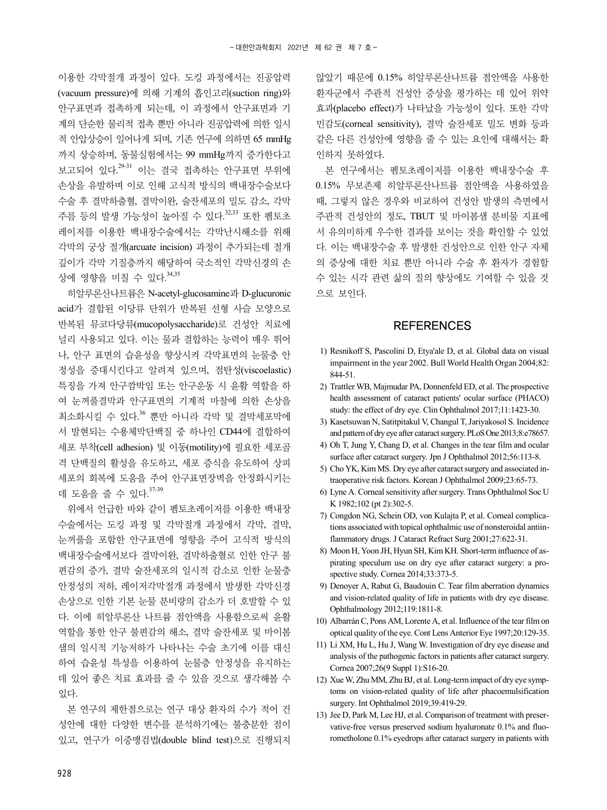이용한 각막절개 과정이 있다. 도킹 과정에서는 진공압력 (vacuum pressure)에 의해 기계의 흡인고리(suction ring)와 안구표면과 접촉하게 되는데, 이 과정에서 안구표면과 기 계의 단순한 물리적 접촉 뿐만 아니라 진공압력에 의한 일시 적 안압상승이 일어나게 되며, 기존 연구에 의하면 65 mmHg 까지 상승하며, 동물실험에서는 99 mmHg까지 증가한다고 보고되어 있다.<sup>29-31</sup> 이는 결국 접촉하는 안구표면 부위에 손상을 유발하며 이로 인해 고식적 방식의 백내장수술보다 수술 후 결막하출혈, 결막이완, 술잔세포의 밀도 감소, 각막 주름 등의 발생 가능성이 높아질 수 있다. 32,33 또한 펨토초 레이저를 이용한 백내장수술에서는 각막난시해소를 위해 각막의 궁상 절개(arcuate incision) 과정이 추가되는데 절개 깊이가 각막 기질층까지 해당하여 국소적인 각막신경의 손 상에 영향을 미칠 수 있다.<sup>34,35</sup>

히알루론산나트륨은 N-acetyl-glucosamine과 D-glucuronic acid가 결합된 이당류 단위가 반복된 선형 사슬 모양으로 반복된 뮤코다당류(mucopolysaccharide)로 건성안 치료에 널리 사용되고 있다. 이는 물과 결합하는 능력이 매우 뛰어 나, 안구 표면의 습윤성을 향상시켜 각막표면의 눈물층 안 정성을 증대시킨다고 알려져 있으며, 점탄성(viscoelastic) 특징을 가져 안구깜박임 또는 안구운동 시 윤활 역할을 하 여 눈꺼풀결막과 안구표면의 기계적 마찰에 의한 손상을 최소화시킬 수 있다. <sup>36</sup> 뿐만 아니라 각막 및 결막세포막에 서 발현되는 수용체막단백질 중 하나인 CD44에 결합하여 세포 부착(cell adhesion) 및 이동(motility)에 필요한 세포골 격 단백질의 활성을 유도하고, 세포 증식을 유도하여 상피 세포의 회복에 도움을 주어 안구표면장벽을 안정화시키는 데 도움을 줄 수 있다. 37-39

위에서 언급한 바와 같이 펨토초레이저를 이용한 백내장 수술에서는 도킹 과정 및 각막절개 과정에서 각막, 결막, 눈꺼풀을 포함한 안구표면에 영향을 주어 고식적 방식의 백내장수술에서보다 결막이완, 결막하출혈로 인한 안구 불 편감의 증가, 결막 술잔세포의 일시적 감소로 인한 눈물층 안정성의 저하, 레이저각막절개 과정에서 발생한 각막신경 손상으로 인한 기본 눈물 분비량의 감소가 더 호발할 수 있 다. 이에 히알루론산 나트륨 점안액을 사용함으로써 윤활 역할을 통한 안구 불편감의 해소, 결막 술잔세포 및 마이봄 샘의 일시적 기능저하가 나타나는 수술 초기에 이를 대신 하여 습윤성 특성을 이용하여 눈물층 안정성을 유지하는 데 있어 좋은 치료 효과를 줄 수 있을 것으로 생각해볼 수 있다.

본 연구의 제한점으로는 연구 대상 환자의 수가 적어 건 성안에 대한 다양한 변수를 분석하기에는 불충분한 점이 있고, 연구가 이중맹검법(double blind test)으로 진행되지 않았기 때문에 0.15% 히알루론산나트륨 점안액을 사용한 환자군에서 주관적 건성안 증상을 평가하는 데 있어 위약 효과(placebo effect)가 나타났을 가능성이 있다. 또한 각막 민감도(corneal sensitivity), 결막 술잔세포 밀도 변화 등과 같은 다른 건성안에 영향을 줄 수 있는 요인에 대해서는 확 인하지 못하였다.

본 연구에서는 펨토초레이저를 이용한 백내장수술 후 0.15% 무보존제 히알루론산나트륨 점안액을 사용하였을 때, 그렇지 않은 경우와 비교하여 건성안 발생의 측면에서 주관적 건성안의 정도, TBUT 및 마이봄샘 분비물 지표에 서 유의미하게 우수한 결과를 보이는 것을 확인할 수 있었 다. 이는 백내장수술 후 발생한 건성안으로 인한 안구 자체 의 증상에 대한 치료 뿐만 아니라 수술 후 환자가 경험할 수 있는 시각 관련 삶의 질의 향상에도 기여할 수 있을 것 으로 보인다.

#### **REFERENCES**

- 1) Resnikoff S, Pascolini D, Etya'ale D, et al. Global data on visual impairment in the year 2002. Bull World Health Organ 2004;82: 844-51.
- 2) Trattler WB, Majmudar PA, Donnenfeld ED, et al. The prospective health assessment of cataract patients' ocular surface (PHACO) study: the effect of dry eye. Clin Ophthalmol 2017;11:1423-30.
- 3) Kasetsuwan N, Satitpitakul V, Changul T, Jariyakosol S. Incidence and pattern of dry eye after cataract surgery. PLoS One 2013;8:e78657.
- 4) Oh T, Jung Y, Chang D, et al. Changes in the tear film and ocular surface after cataract surgery. Jpn J Ophthalmol 2012;56:113-8.
- 5) Cho YK, Kim MS. Dry eye after cataract surgery and associated intraoperative risk factors. Korean J Ophthalmol 2009;23:65-73.
- 6) Lyne A. Corneal sensitivity after surgery. Trans Ophthalmol Soc U K 1982;102 (pt 2):302-5.
- 7) Congdon NG, Schein OD, von Kulajta P, et al. Corneal complications associated with topical ophthalmic use of nonsteroidal antiinflammatory drugs. J Cataract Refract Surg 2001;27:622-31.
- 8) Moon H, Yoon JH, Hyun SH, Kim KH. Short-term influence of aspirating speculum use on dry eye after cataract surgery: a prospective study. Cornea 2014;33:373-5.
- 9) Denoyer A, Rabut G, Baudouin C. Tear film aberration dynamics and vision-related quality of life in patients with dry eye disease. Ophthalmology 2012;119:1811-8.
- 10) Albarrán C, Pons AM, Lorente A, et al. Influence of the tear film on optical quality of the eye. Cont Lens Anterior Eye 1997;20:129-35.
- 11) Li XM, Hu L, Hu J, Wang W. Investigation of dry eye disease and analysis of the pathogenic factors in patients after cataract surgery. Cornea 2007;26(9 Suppl 1):S16-20.
- 12) Xue W, Zhu MM, Zhu BJ, et al. Long-term impact of dry eye symptoms on vision-related quality of life after phacoemulsification surgery. Int Ophthalmol 2019;39:419-29.
- 13) Jee D, Park M, Lee HJ, et al. Comparison of treatment with preservative-free versus preserved sodium hyaluronate 0.1% and fluorometholone 0.1% eyedrops after cataract surgery in patients with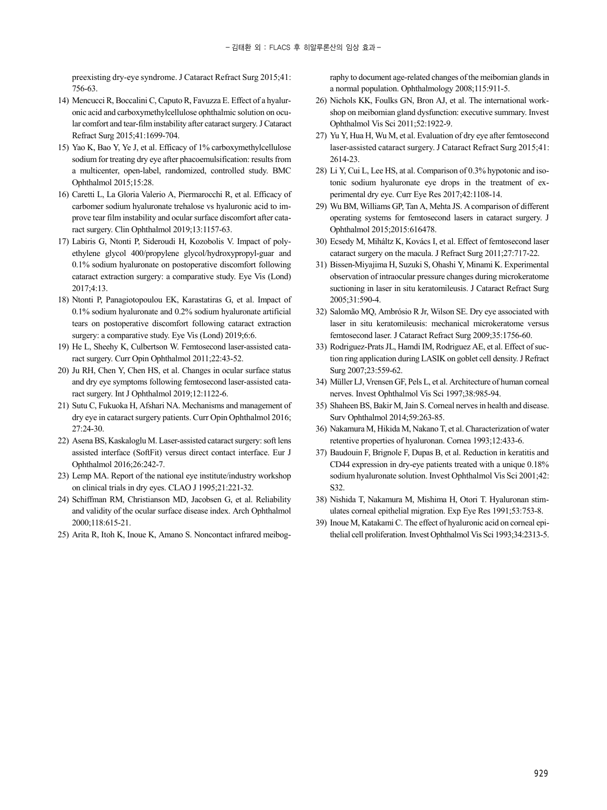preexisting dry-eye syndrome. J Cataract Refract Surg 2015;41: 756-63.

- 14) Mencucci R, Boccalini C, Caputo R, Favuzza E. Effect of a hyaluronic acid and carboxymethylcellulose ophthalmic solution on ocular comfort and tear-film instability after cataract surgery. J Cataract Refract Surg 2015;41:1699-704.
- 15) Yao K, Bao Y, Ye J, et al. Efficacy of 1% carboxymethylcellulose sodium for treating dry eye after phacoemulsification: results from a multicenter, open-label, randomized, controlled study. BMC Ophthalmol 2015;15:28.
- 16) Caretti L, La Gloria Valerio A, Piermarocchi R, et al. Efficacy of carbomer sodium hyaluronate trehalose vs hyaluronic acid to improve tear film instability and ocular surface discomfort after cataract surgery. Clin Ophthalmol 2019;13:1157-63.
- 17) Labiris G, Ntonti P, Sideroudi H, Kozobolis V. Impact of polyethylene glycol 400/propylene glycol/hydroxypropyl-guar and 0.1% sodium hyaluronate on postoperative discomfort following cataract extraction surgery: a comparative study. Eye Vis (Lond) 2017;4:13.
- 18) Ntonti P, Panagiotopoulou EK, Karastatiras G, et al. Impact of 0.1% sodium hyaluronate and 0.2% sodium hyaluronate artificial tears on postoperative discomfort following cataract extraction surgery: a comparative study. Eye Vis (Lond) 2019;6:6.
- 19) He L, Sheehy K, Culbertson W. Femtosecond laser-assisted cataract surgery. Curr Opin Ophthalmol 2011;22:43-52.
- 20) Ju RH, Chen Y, Chen HS, et al. Changes in ocular surface status and dry eye symptoms following femtosecond laser-assisted cataract surgery. Int J Ophthalmol 2019;12:1122-6.
- 21) Sutu C, Fukuoka H, Afshari NA. Mechanisms and management of dry eye in cataract surgery patients. Curr Opin Ophthalmol 2016; 27:24-30.
- 22) Asena BS, Kaskaloglu M. Laser-assisted cataract surgery: soft lens assisted interface (SoftFit) versus direct contact interface. Eur J Ophthalmol 2016;26:242-7.
- 23) Lemp MA. Report of the national eye institute/industry workshop on clinical trials in dry eyes. CLAO J 1995;21:221-32.
- 24) Schiffman RM, Christianson MD, Jacobsen G, et al. Reliability and validity of the ocular surface disease index. Arch Ophthalmol 2000;118:615-21.
- 25) Arita R, Itoh K, Inoue K, Amano S. Noncontact infrared meibog-

raphy to document age-related changes of the meibomian glands in a normal population. Ophthalmology 2008;115:911-5.

- 26) Nichols KK, Foulks GN, Bron AJ, et al. The international workshop on meibomian gland dysfunction: executive summary. Invest Ophthalmol Vis Sci 2011;52:1922-9.
- 27) Yu Y, Hua H, Wu M, et al. Evaluation of dry eye after femtosecond laser-assisted cataract surgery. J Cataract Refract Surg 2015;41: 2614-23.
- 28) Li Y, Cui L, Lee HS, at al. Comparison of 0.3% hypotonic and isotonic sodium hyaluronate eye drops in the treatment of experimental dry eye. Curr Eye Res 2017;42:1108-14.
- 29) Wu BM, Williams GP, Tan A, Mehta JS. A comparison of different operating systems for femtosecond lasers in cataract surgery. J Ophthalmol 2015;2015:616478.
- 30) Ecsedy M, Miháltz K, Kovács I, et al. Effect of femtosecond laser cataract surgery on the macula. J Refract Surg 2011;27:717-22.
- 31) Bissen-Miyajima H, Suzuki S, Ohashi Y, Minami K. Experimental observation of intraocular pressure changes during microkeratome suctioning in laser in situ keratomileusis. J Cataract Refract Surg 2005;31:590-4.
- 32) Salomão MQ, Ambrósio R Jr, Wilson SE. Dry eye associated with laser in situ keratomileusis: mechanical microkeratome versus femtosecond laser. J Cataract Refract Surg 2009;35:1756-60.
- 33) Rodriguez-Prats JL, Hamdi IM, Rodriguez AE, et al. Effect of suction ring application during LASIK on goblet cell density. J Refract Surg 2007;23:559-62.
- 34) Müller LJ, Vrensen GF, Pels L, et al. Architecture of human corneal nerves. Invest Ophthalmol Vis Sci 1997;38:985-94.
- 35) Shaheen BS, Bakir M, Jain S. Corneal nerves in health and disease. Surv Ophthalmol 2014;59:263-85.
- 36) Nakamura M, Hikida M, Nakano T, et al. Characterization of water retentive properties of hyaluronan. Cornea 1993;12:433-6.
- 37) Baudouin F, Brignole F, Dupas B, et al. Reduction in keratitis and CD44 expression in dry-eye patients treated with a unique 0.18% sodium hyaluronate solution. Invest Ophthalmol Vis Sci 2001;42: S32.
- 38) Nishida T, Nakamura M, Mishima H, Otori T. Hyaluronan stimulates corneal epithelial migration. Exp Eye Res 1991;53:753-8.
- 39) Inoue M, Katakami C. The effect of hyaluronic acid on corneal epithelial cell proliferation. Invest Ophthalmol Vis Sci 1993;34:2313-5.